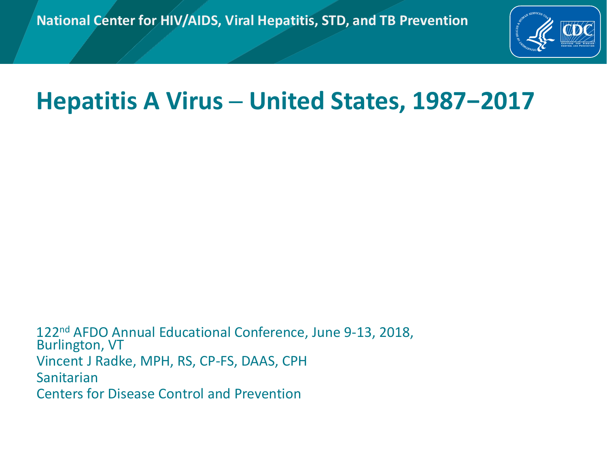

## **Hepatitis A Virus ─ United States, 1987−2017**

122nd AFDO Annual Educational Conference, June 9-13, 2018, Burlington, VT Vincent J Radke, MPH, RS, CP-FS, DAAS, CPH Sanitarian Centers for Disease Control and Prevention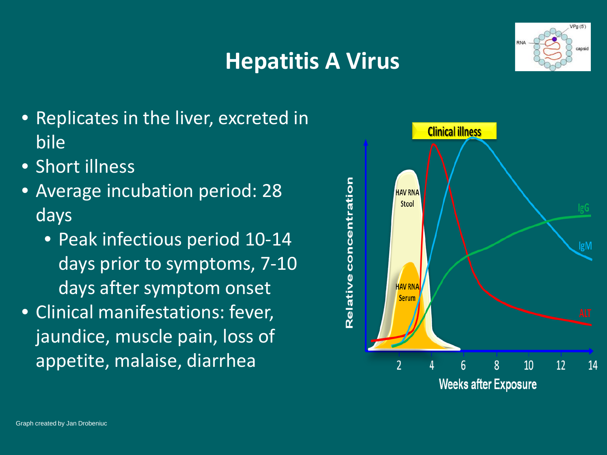### **Hepatitis A Virus**



- Replicates in the liver, excreted in bile
- Short illness
- Average incubation period: 28 days
	- Peak infectious period 10-14 days prior to symptoms, 7-10 days after symptom onset
- Clinical manifestations: fever, jaundice, muscle pain, loss of appetite, malaise, diarrhea

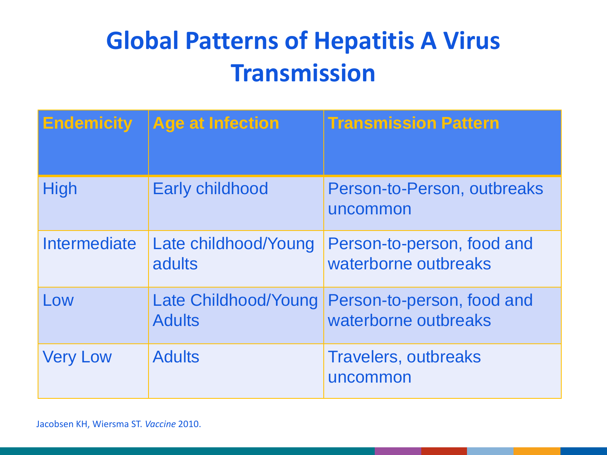# **Global Patterns of Hepatitis A Virus Transmission**

| <b>Endemicity</b> | <b>Age at Infection</b>               | <b>Transmission Pattern</b>                        |
|-------------------|---------------------------------------|----------------------------------------------------|
| <b>High</b>       | <b>Early childhood</b>                | Person-to-Person, outbreaks<br>uncommon            |
| Intermediate      | Late childhood/Young<br>adults        | Person-to-person, food and<br>waterborne outbreaks |
| Low               | Late Childhood/Young<br><b>Adults</b> | Person-to-person, food and<br>waterborne outbreaks |
| <b>Very Low</b>   | <b>Adults</b>                         | <b>Travelers, outbreaks</b><br>uncommon            |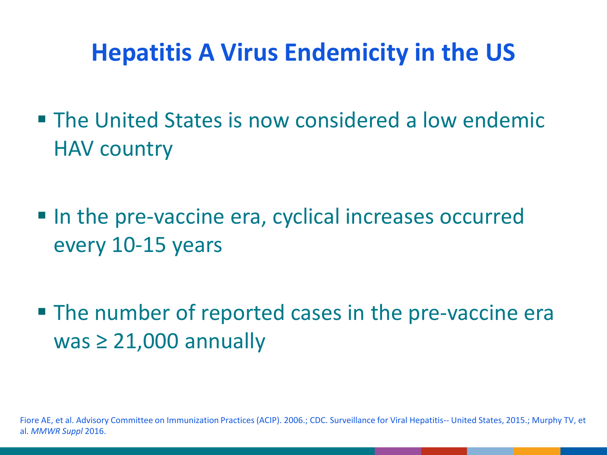## **Hepatitis A Virus Endemicity in the US**

- **The United States is now considered a low endemic** HAV country
- In the pre-vaccine era, cyclical increases occurred every 10-15 years
- **The number of reported cases in the pre-vaccine era** was  $\geq 21,000$  annually

Fiore AE, et al. Advisory Committee on Immunization Practices (ACIP). 2006.; CDC. Surveillance for Viral Hepatitis-- United States, 2015.; Murphy TV, et al. *MMWR Suppl* 2016.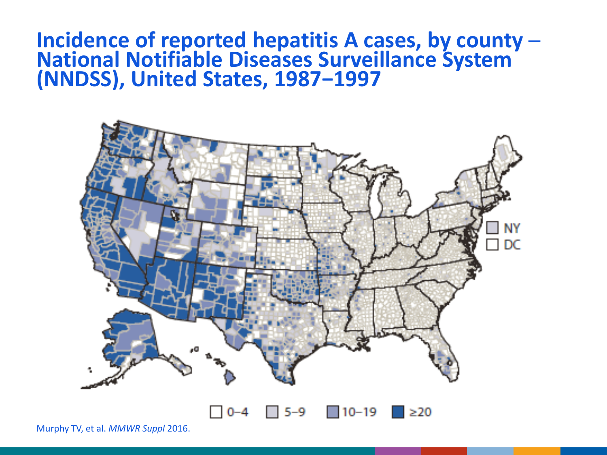### **Incidence of reported hepatitis A cases, by county ─ National Notifiable Diseases Surveillance System (NNDSS), United States, 1987−1997**



Murphy TV, et al. *MMWR Suppl* 2016.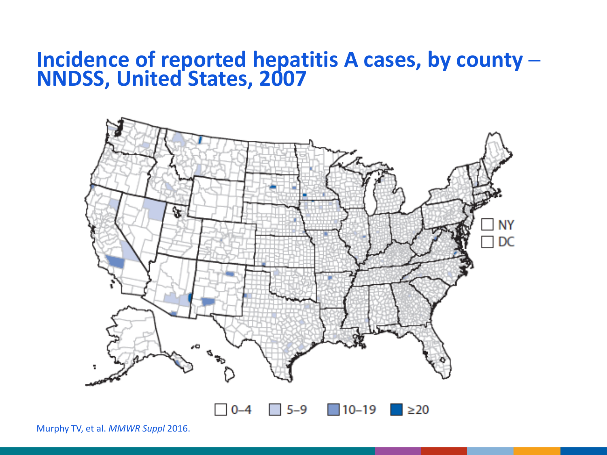### **Incidence of reported hepatitis A cases, by county ─ NNDSS, United States, 2007**



Murphy TV, et al. *MMWR Suppl* 2016.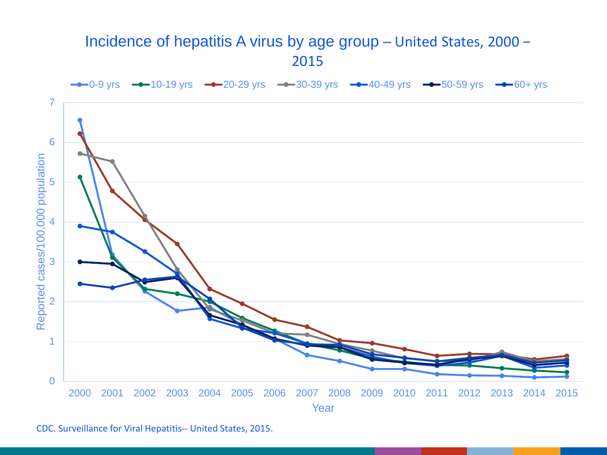#### Incidence of hepatitis A virus by age group ─ United States, 2000 −



CDC. Surveillance for Viral Hepatitis-- United States, 2015.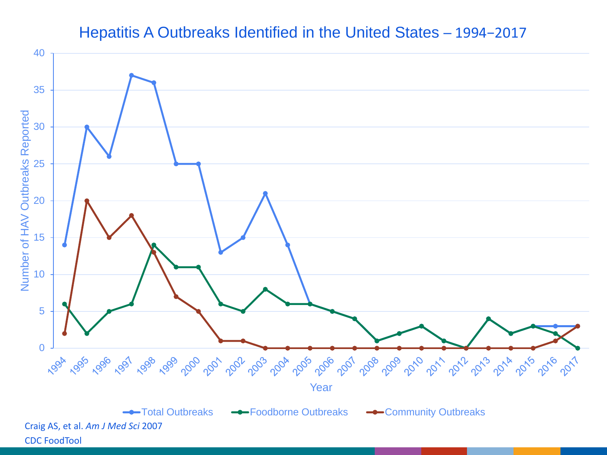#### Hepatitis A Outbreaks Identified in the United States – 1994-2017

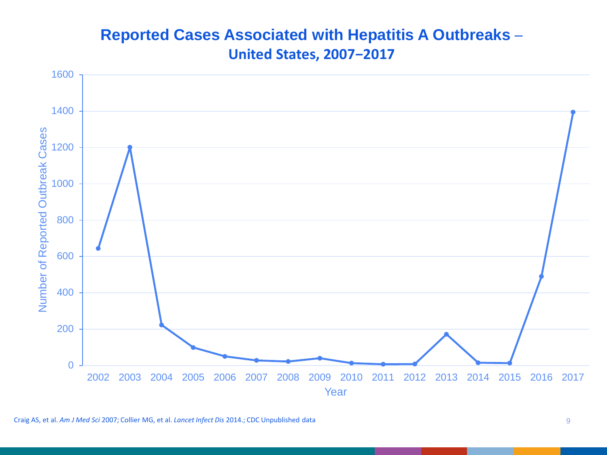#### **Reported Cases Associated with Hepatitis A Outbreaks ─ United States, 2007−2017**

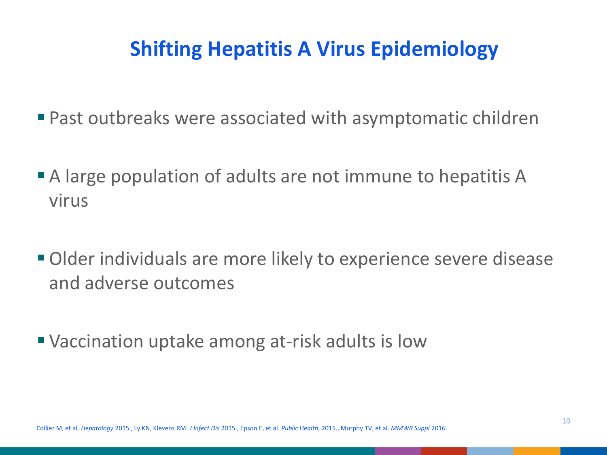### **Shifting Hepatitis A Virus Epidemiology**

- Past outbreaks were associated with asymptomatic children
- A large population of adults are not immune to hepatitis A virus
- Older individuals are more likely to experience severe disease and adverse outcomes
- Vaccination uptake among at-risk adults is low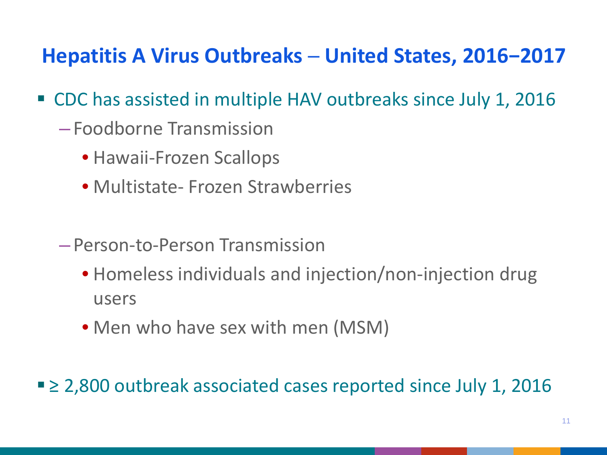### **Hepatitis A Virus Outbreaks ─ United States, 2016−2017**

- CDC has assisted in multiple HAV outbreaks since July 1, 2016
	- Foodborne Transmission
		- Hawaii-Frozen Scallops
		- Multistate- Frozen Strawberries
	- Person-to-Person Transmission
		- Homeless individuals and injection/non-injection drug users
		- Men who have sex with men (MSM)
- ≥ 2,800 outbreak associated cases reported since July 1, 2016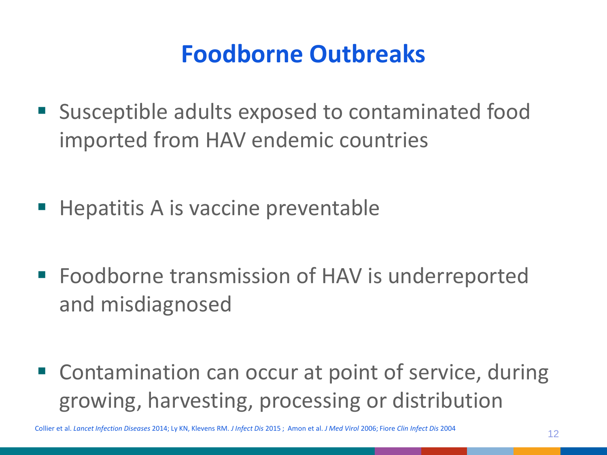## **Foodborne Outbreaks**

- **Susceptible adults exposed to contaminated food** imported from HAV endemic countries
- $\blacksquare$  Hepatitis A is vaccine preventable
- Foodborne transmission of HAV is underreported and misdiagnosed
- Contamination can occur at point of service, during growing, harvesting, processing or distribution

<sup>12</sup> Collier et al. *Lancet Infection Diseases* 2014; Ly KN, Klevens RM. *J Infect Dis* <sup>2015</sup> ; Amon et al. *J Med Virol* 2006; Fiore *Clin Infect Dis* <sup>2004</sup>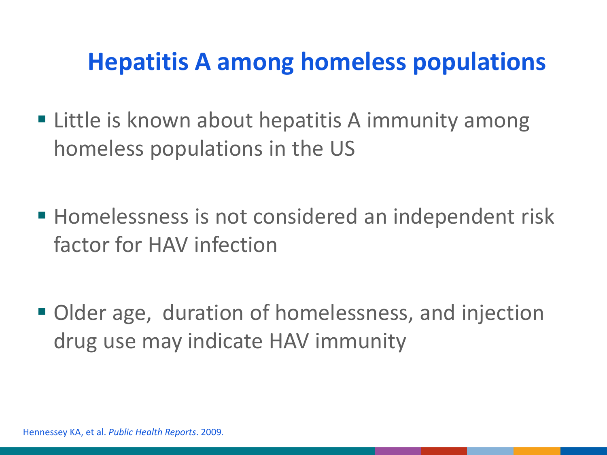## **Hepatitis A among homeless populations**

- **Example is known about hepatitis A immunity among** homeless populations in the US
- **Homelessness is not considered an independent risk** factor for HAV infection
- Older age, duration of homelessness, and injection drug use may indicate HAV immunity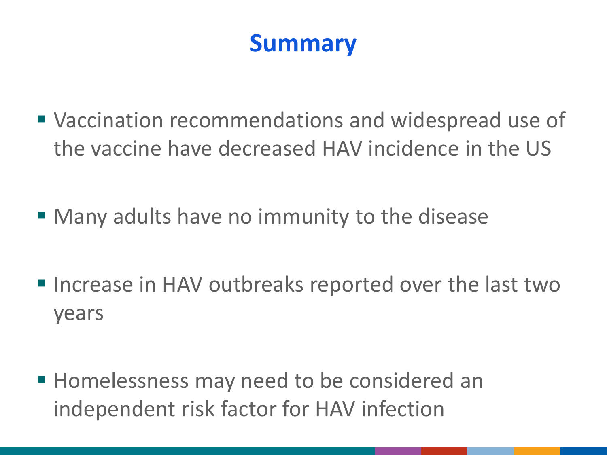## **Summary**

- Vaccination recommendations and widespread use of the vaccine have decreased HAV incidence in the US
- Many adults have no immunity to the disease
- Increase in HAV outbreaks reported over the last two years
- **Homelessness may need to be considered an** independent risk factor for HAV infection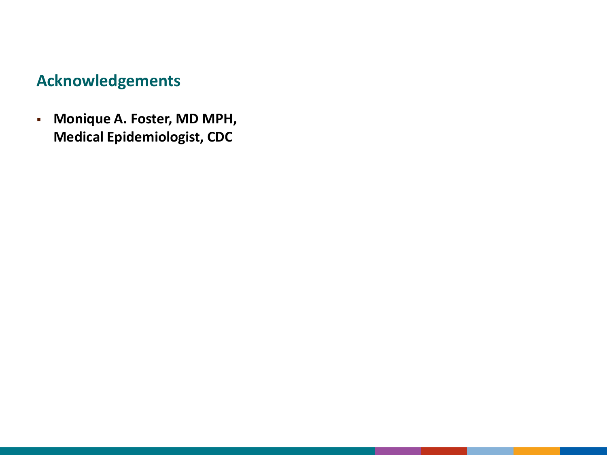### **Acknowledgements**

 **Monique A. Foster, MD MPH, Medical Epidemiologist, CDC**